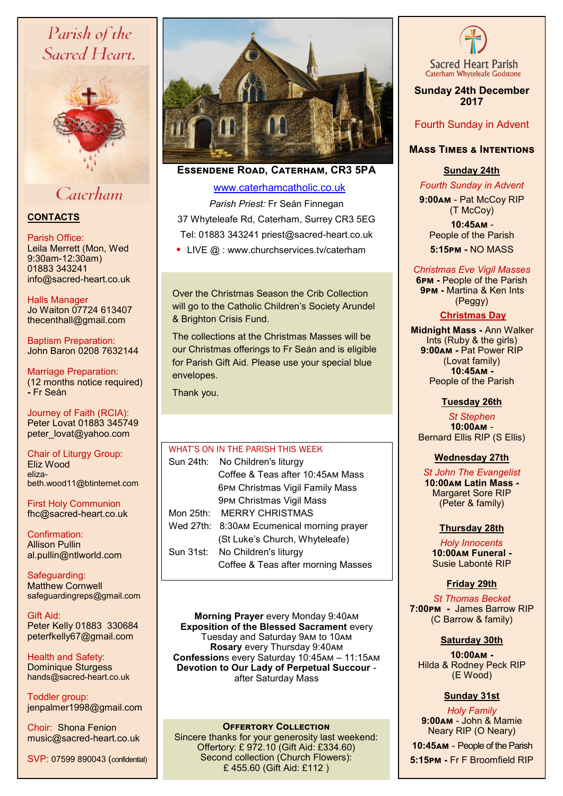# Parish of the Sacred Heart.



# Caterham

## **CONTACTS**

### Parish Office:

Leila Merrett (Mon, Wed 9:30am-12:30am) 01883 343241 info@sacred-heart.co.uk

Halls Manager Jo Waiton 07724 613407 thecenthall@gmail.com

Baptism Preparation: John Baron 0208 7632144

Marriage Preparation: (12 months notice required) **-** Fr Seán

Journey of Faith (RCIA): Peter Lovat 01883 345749 peter\_lovat@yahoo.com

Chair of Liturgy Group: Eliz Wood elizabeth.wood11@btinternet.com

First Holy Communion fhc@sacred-heart.co.uk

Confirmation: Allison Pullin al.pullin@ntlworld.com

Safeguarding: Matthew Cornwell safeguardingreps@gmail.com

Gift Aid: Peter Kelly 01883 330684 peterfkelly67@gmail.com

Health and Safety: Dominique Sturgess hands@sacred-heart.co.uk

Toddler group: jenpalmer1998@gmail.com

Choir: Shona Fenion music@sacred-heart.co.uk





**Essendene Road, Caterham, CR3 5PA**

## [www.caterhamcatholic.co.uk](http://Www.caterhamcatholic.co.uk)

*Parish Priest:* Fr Seán Finnegan 37 Whyteleafe Rd, Caterham, Surrey CR3 5EG Tel: 01883 343241 priest@sacred-heart.co.uk

• LIVE @ : www.churchservices.tv/caterham

Over the Christmas Season the Crib Collection will go to the Catholic Children's Society Arundel & Brighton Crisis Fund.

The collections at the Christmas Masses will be our Christmas offerings to Fr Seán and is eligible for Parish Gift Aid. Please use your special blue envelopes.

Thank you.

## WHAT'S ON IN THE PARISH THIS WEEK. Sun 24th: No Children's liturgy Coffee & Teas after 10:45am Mass 6pm Christmas Vigil Family Mass 9pm Christmas Vigil Mass Mon 25th: MERRY CHRISTMAS Wed 27th: 8:30am Ecumenical morning prayer

- (St Luke's Church, Whyteleafe) Sun 31st: No Children's liturgy
	- Coffee & Teas after morning Masses

**Morning Prayer** every Monday 9:40am **Exposition of the Blessed Sacrament every** Tuesday and Saturday 9am to 10am **Rosary** every Thursday 9:40am **Confession**s every Saturday 10:45am – 11:15am **Devotion to Our Lady of Perpetual Succour**  after Saturday Mass

## **OFFERTORY COLLECTION**

Sincere thanks for your generosity last weekend: Offertory: £ 972.10 (Gift Aid: £334.60) Second collection (Church Flowers): £ 455.60 (Gift Aid: £112 )



**Sunday 24th December 2017**

## Fourth Sunday in Advent

## **Mass Times & Intentions**

## **Sunday 24th**

. *Fourth Sunday in Advent*

**9:00am** - Pat McCoy RIP (T McCoy)

.**10:45am** - People of the Parish . **5:15pm -** NO MASS

## *Christmas Eve Vigil Masses*

**6pm -** People of the Parish .**9pm -** Martina & Ken Ints (Peggy)

## . **Christmas Day**

.**Midnight Mass -** Ann Walker Ints (Ruby & the girls) **9:00am -** Pat Power RIP (Lovat family) .**10:45am -** People of the Parish

## **Tuesday 26th**

*St Stephen* **10:00am** - Bernard Ellis RIP (S Ellis)

## **Wednesday 27th**

. *St John The Evangelist* **10:00am Latin Mass -** Margaret Sore RIP (Peter & family)

## **Thursday 28th**

*Holy Innocents*. **10:00am Funeral -** Susie Labonté RIP

## **Friday 29th**

. *St Thomas Becket* **7:00pm -** James Barrow RIP (C Barrow & family)

## **Saturday 30th**

**10:00am -**  Hilda & Rodney Peck RIP (E Wood)

## **Sunday 31st**

*Holy Family* **9:00am** - John & Mamie Neary RIP (O Neary)

.**10:45am** - People of the Parish

. **5:15pm -** Fr F Broomfield RIP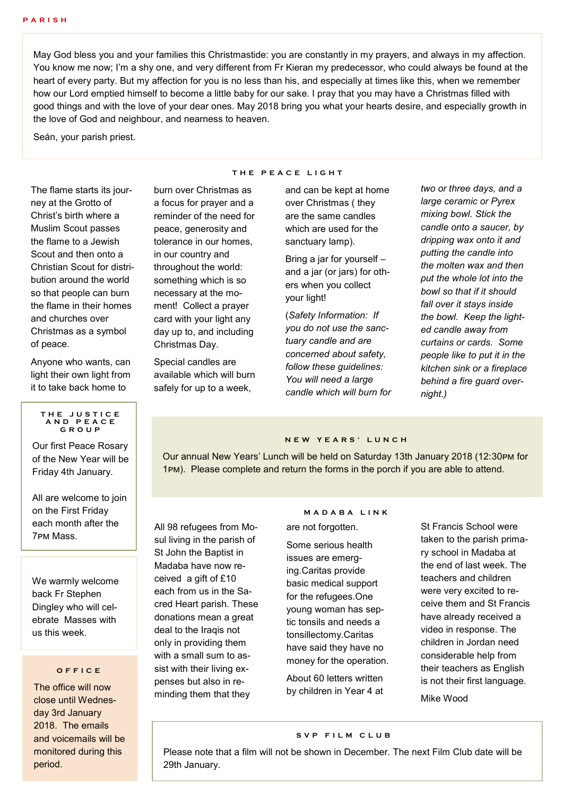May God bless you and your families this Christmastide: you are constantly in my prayers, and always in my affection. You know me now; I'm a shy one, and very different from Fr Kieran my predecessor, who could always be found at the heart of every party. But my affection for you is no less than his, and especially at times like this, when we remember how our Lord emptied himself to become a little baby for our sake. I pray that you may have a Christmas filled with good things and with the love of your dear ones. May 2018 bring you what your hearts desire, and especially growth in the love of God and neighbour, and nearness to heaven.

Seán, your parish priest.

The flame starts its journey at the Grotto of Christ's birth where a Muslim Scout passes the flame to a Jewish Scout and then onto a Christian Scout for distribution around the world so that people can burn the flame in their homes and churches over Christmas as a symbol of peace.

Anyone who wants, can light their own light from it to take back home to

### **T H E J U S T I C E A N D P E A C E G R O U P**

Our first Peace Rosary of the New Year will be Friday 4th January.

All are welcome to join on the First Friday each month after the 7pm Mass.

We warmly welcome back Fr Stephen Dingley who will celebrate Masses with us this week.

### **O F F I C E**

The office will now close until Wednesday 3rd January 2018. The emails and voicemails will be monitored during this period.

### **T H E P E A C E L I G H T**

burn over Christmas as a focus for prayer and a reminder of the need for peace, generosity and tolerance in our homes, in our country and throughout the world: something which is so necessary at the moment! Collect a prayer card with your light any day up to, and including Christmas Day.

Special candles are available which will burn safely for up to a week,

and can be kept at home over Christmas ( they are the same candles which are used for the sanctuary lamp).

Bring a jar for yourself – and a jar (or jars) for others when you collect your light!

(*Safety Information: If you do not use the sanctuary candle and are concerned about safety, follow these guidelines: You will need a large candle which will burn for*  *two or three days, and a large ceramic or Pyrex mixing bowl. Stick the candle onto a saucer, by dripping wax onto it and putting the candle into the molten wax and then put the whole lot into the bowl so that if it should fall over it stays inside the bowl. Keep the lighted candle away from curtains or cards. Some people like to put it in the kitchen sink or a fireplace behind a fire guard overnight.)*

## **N E W Y E A R S ' L U N C H**

Our annual New Years' Lunch will be held on Saturday 13th January 2018 (12:30pm for 1pm). Please complete and return the forms in the porch if you are able to attend.

All 98 refugees from Mosul living in the parish of St John the Baptist in Madaba have now received a gift of £10 each from us in the Sacred Heart parish. These donations mean a great deal to the Iraqis not only in providing them with a small sum to assist with their living expenses but also in reminding them that they

### **M A D A B A L I N K**

are not forgotten.

Some serious health issues are emerging.Caritas provide basic medical support for the refugees.One young woman has septic tonsils and needs a tonsillectomy.Caritas have said they have no money for the operation.

About 60 letters written by children in Year 4 at St Francis School were taken to the parish primary school in Madaba at the end of last week. The teachers and children were very excited to receive them and St Francis have already received a video in response. The children in Jordan need considerable help from their teachers as English is not their first language.

Mike Wood

## **S V P F I L M C L U B**

Please note that a film will not be shown in December. The next Film Club date will be 29th January.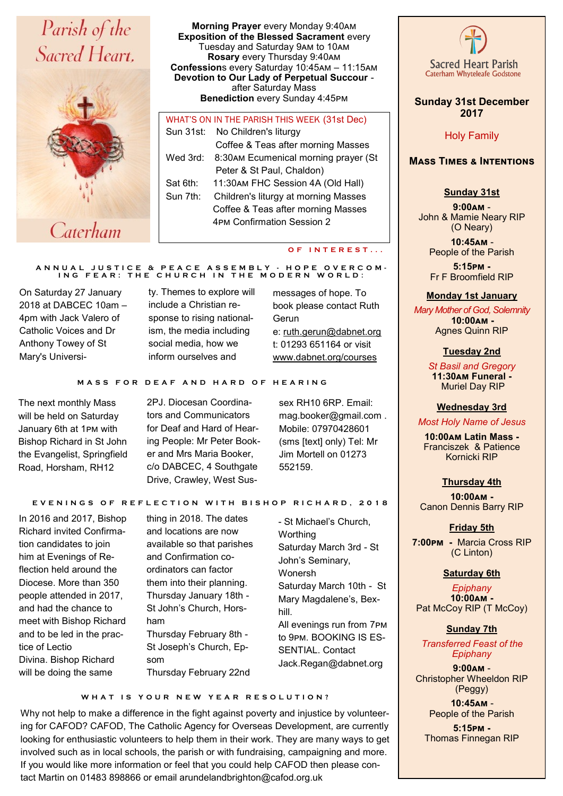# Parish of the Sacred Heart.



**Morning Prayer** every Monday 9:40am **Exposition of the Blessed Sacrament** every Tuesday and Saturday 9am to 10am **Rosary** every Thursday 9:40am **Confession**s every Saturday 10:45am – 11:15am **Devotion to Our Lady of Perpetual Succour**  after Saturday Mass **Benediction** every Sunday 4:45pm

## WHAT'S ON IN THE PARISH THIS WEEK (31st Dec) Sun 31st: No Children's liturgy Coffee & Teas after morning Masses Wed 3rd: 8:30am Ecumenical morning prayer (St Peter & St Paul, Chaldon) Sat 6th: 11:30am FHC Session 4A (Old Hall) Sun 7th: Children's liturgy at morning Masses Coffee & Teas after morning Masses 4pm Confirmation Session 2

### **O F I N T E R E S T . . .**

#### **A N N U A L J U S T I C E & P E A C E A S S E M B L Y - H O P E O V E R C O M - I N G F E A R : T H E C H U R C H I N T H E M O D E R N W O R L D :**

On Saturday 27 January 2018 at DABCEC 10am – 4pm with Jack Valero of Catholic Voices and Dr Anthony Towey of St Mary's Universi-

ty. Themes to explore will include a Christian response to rising nationalism, the media including social media, how we inform ourselves and

messages of hope. To book please contact Ruth Gerun e: [ruth.gerun@dabnet.org](mailto:ruth.gerun@dabnet.org) t: 01293 651164 or visit [www.dabnet.org/courses](https://dabnet.us9.list-manage.com/track/click?u=6ad3715cf61665df736c264a6&id=a7b8214209&e=b47e635eca)

### **M A S S F O R D E A F A N D H A R D O F H E A R I N G**

The next monthly Mass will be held on Saturday January 6th at 1pm with Bishop Richard in St John the Evangelist, Springfield Road, Horsham, RH12

2PJ. Diocesan Coordinators and Communicators for Deaf and Hard of Hearing People: Mr Peter Booker and Mrs Maria Booker, c/o DABCEC, 4 Southgate Drive, Crawley, West Sus-

sex RH10 6RP. Email: mag.booker@gmail.com . Mobile: 07970428601 (sms [text] only) Tel: Mr Jim Mortell on 01273 552159.

### **E V E N I N G S O F R E F L E C T I O N W I T H B I S H O P R I C H A R D , 2 0 1 8**

In 2016 and 2017, Bishop Richard invited Confirmation candidates to join him at Evenings of Reflection held around the Diocese. More than 350 people attended in 2017, and had the chance to meet with Bishop Richard and to be led in the practice of Lectio Divina. Bishop Richard will be doing the same

thing in 2018. The dates and locations are now available so that parishes and Confirmation coordinators can factor them into their planning. Thursday January 18th - St John's Church, Horsham Thursday February 8th - St Joseph's Church, Epsom Thursday February 22nd

- St Michael's Church, **Worthing** Saturday March 3rd - St John's Seminary, Wonersh Saturday March 10th - St Mary Magdalene's, Bexhill. All evenings run from 7pm to 9pm. BOOKING IS ES-SENTIAL. Contact Jack.Regan@dabnet.org

WHAT IS YOUR NEW YEAR RESOLUTION?

Why not help to make a difference in the fight against poverty and injustice by volunteering for CAFOD? CAFOD, The Catholic Agency for Overseas Development, are currently looking for enthusiastic volunteers to help them in their work. They are many ways to get involved such as in local schools, the parish or with fundraising, campaigning and more. If you would like more information or feel that you could help CAFOD then please contact Martin on 01483 898866 or email arundelandbrighton@cafod.org.uk



## **Sunday 31st December 2017**

Holy Family

## **Mass Times & Intentions**

## **Sunday 31st**

**9:00am** - John & Mamie Neary RIP (O Neary)

.**10:45am** - People of the Parish

**5:15pm -** Fr F Broomfield RIP

### **Monday 1st January**

*Mary Mother of God, Solemnity* ..**10:00am -** Agnes Quinn RIP

### **Tuesday 2nd**

*St Basil and Gregory* **11:30am Funeral -** Muriel Day RIP

### **Wednesday 3rd**

*Most Holy Name of Jesus*

**10:00am Latin Mass -** Franciszek & Patience Kornicki RIP

### **Thursday 4th**

 **10:00am -** Canon Dennis Barry RIP

### **Friday 5th**

. **7:00pm -** Marcia Cross RIP (C Linton)

### **Saturday 6th**

*Epiphany* **10:00am -**  Pat McCoy RIP (T McCoy)

### **Sunday 7th**

.*Transferred Feast of the Epiphany*

**9:00am** - Christopher Wheeldon RIP (Peggy) .**10:45am** -

People of the Parish

**5:15pm -** Thomas Finnegan RIP